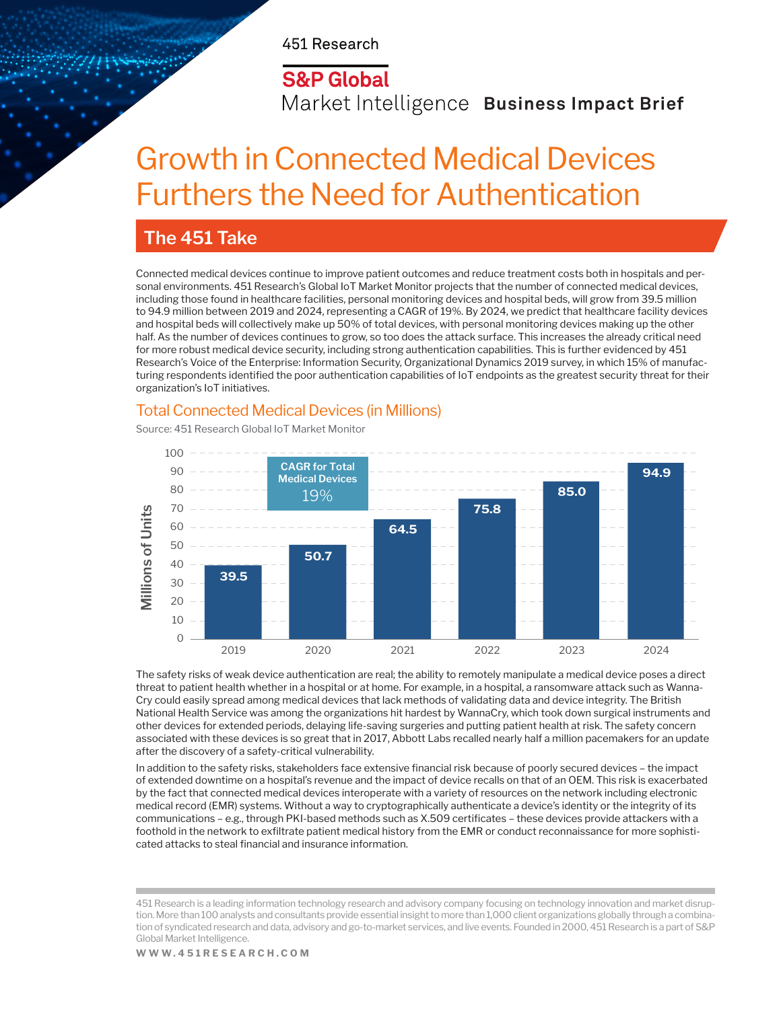451 Research

### **S&P Global**

Market Intelligence Business Impact Brief

# Growth in Connected Medical Devices Furthers the Need for Authentication

### **The 451 Take**

Connected medical devices continue to improve patient outcomes and reduce treatment costs both in hospitals and personal environments. 451 Research's Global IoT Market Monitor projects that the number of connected medical devices, including those found in healthcare facilities, personal monitoring devices and hospital beds, will grow from 39.5 million to 94.9 million between 2019 and 2024, representing a CAGR of 19%. By 2024, we predict that healthcare facility devices and hospital beds will collectively make up 50% of total devices, with personal monitoring devices making up the other half. As the number of devices continues to grow, so too does the attack surface. This increases the already critical need for more robust medical device security, including strong authentication capabilities. This is further evidenced by 451 Research's Voice of the Enterprise: Information Security, Organizational Dynamics 2019 survey, in which 15% of manufacturing respondents identified the poor authentication capabilities of IoT endpoints as the greatest security threat for their organization's IoT initiatives.

### Total Connected Medical Devices (in Millions)

Source: 451 Research Global IoT Market Monitor



The safety risks of weak device authentication are real; the ability to remotely manipulate a medical device poses a direct threat to patient health whether in a hospital or at home. For example, in a hospital, a ransomware attack such as Wanna-Cry could easily spread among medical devices that lack methods of validating data and device integrity. The British National Health Service was among the organizations hit hardest by WannaCry, which took down surgical instruments and other devices for extended periods, delaying life-saving surgeries and putting patient health at risk. The safety concern associated with these devices is so great that in 2017, Abbott Labs recalled nearly half a million pacemakers for an update after the discovery of a safety-critical vulnerability.

In addition to the safety risks, stakeholders face extensive financial risk because of poorly secured devices – the impact of extended downtime on a hospital's revenue and the impact of device recalls on that of an OEM. This risk is exacerbated by the fact that connected medical devices interoperate with a variety of resources on the network including electronic medical record (EMR) systems. Without a way to cryptographically authenticate a device's identity or the integrity of its communications – e.g., through PKI-based methods such as X.509 certificates – these devices provide attackers with a foothold in the network to exfiltrate patient medical history from the EMR or conduct reconnaissance for more sophisticated attacks to steal financial and insurance information.

<sup>451</sup> Research is a leading information technology research and advisory company focusing on technology innovation and market disruption. More than 100 analysts and consultants provide essential insight to more than 1,000 client organizations globally through a combination of syndicated research and data, advisory and go-to-market services, and live events. Founded in 2000, 451 Research is a part of S&P Global Market Intelligence.